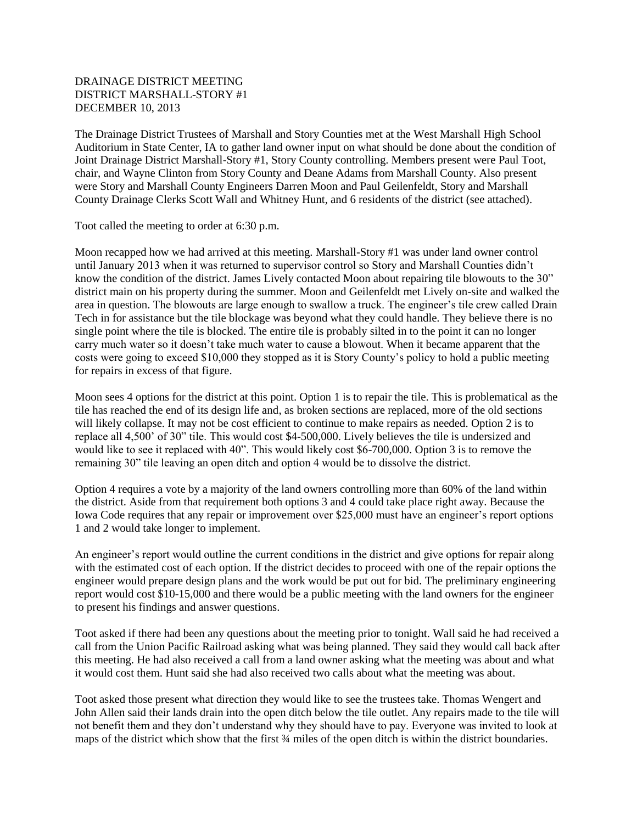## DRAINAGE DISTRICT MEETING DISTRICT MARSHALL-STORY #1 DECEMBER 10, 2013

The Drainage District Trustees of Marshall and Story Counties met at the West Marshall High School Auditorium in State Center, IA to gather land owner input on what should be done about the condition of Joint Drainage District Marshall-Story #1, Story County controlling. Members present were Paul Toot, chair, and Wayne Clinton from Story County and Deane Adams from Marshall County. Also present were Story and Marshall County Engineers Darren Moon and Paul Geilenfeldt, Story and Marshall County Drainage Clerks Scott Wall and Whitney Hunt, and 6 residents of the district (see attached).

Toot called the meeting to order at 6:30 p.m.

Moon recapped how we had arrived at this meeting. Marshall-Story #1 was under land owner control until January 2013 when it was returned to supervisor control so Story and Marshall Counties didn't know the condition of the district. James Lively contacted Moon about repairing tile blowouts to the 30" district main on his property during the summer. Moon and Geilenfeldt met Lively on-site and walked the area in question. The blowouts are large enough to swallow a truck. The engineer's tile crew called Drain Tech in for assistance but the tile blockage was beyond what they could handle. They believe there is no single point where the tile is blocked. The entire tile is probably silted in to the point it can no longer carry much water so it doesn't take much water to cause a blowout. When it became apparent that the costs were going to exceed \$10,000 they stopped as it is Story County's policy to hold a public meeting for repairs in excess of that figure.

Moon sees 4 options for the district at this point. Option 1 is to repair the tile. This is problematical as the tile has reached the end of its design life and, as broken sections are replaced, more of the old sections will likely collapse. It may not be cost efficient to continue to make repairs as needed. Option 2 is to replace all 4,500' of 30" tile. This would cost \$4-500,000. Lively believes the tile is undersized and would like to see it replaced with 40". This would likely cost \$6-700,000. Option 3 is to remove the remaining 30" tile leaving an open ditch and option 4 would be to dissolve the district.

Option 4 requires a vote by a majority of the land owners controlling more than 60% of the land within the district. Aside from that requirement both options 3 and 4 could take place right away. Because the Iowa Code requires that any repair or improvement over \$25,000 must have an engineer's report options 1 and 2 would take longer to implement.

An engineer's report would outline the current conditions in the district and give options for repair along with the estimated cost of each option. If the district decides to proceed with one of the repair options the engineer would prepare design plans and the work would be put out for bid. The preliminary engineering report would cost \$10-15,000 and there would be a public meeting with the land owners for the engineer to present his findings and answer questions.

Toot asked if there had been any questions about the meeting prior to tonight. Wall said he had received a call from the Union Pacific Railroad asking what was being planned. They said they would call back after this meeting. He had also received a call from a land owner asking what the meeting was about and what it would cost them. Hunt said she had also received two calls about what the meeting was about.

Toot asked those present what direction they would like to see the trustees take. Thomas Wengert and John Allen said their lands drain into the open ditch below the tile outlet. Any repairs made to the tile will not benefit them and they don't understand why they should have to pay. Everyone was invited to look at maps of the district which show that the first  $\frac{3}{4}$  miles of the open ditch is within the district boundaries.